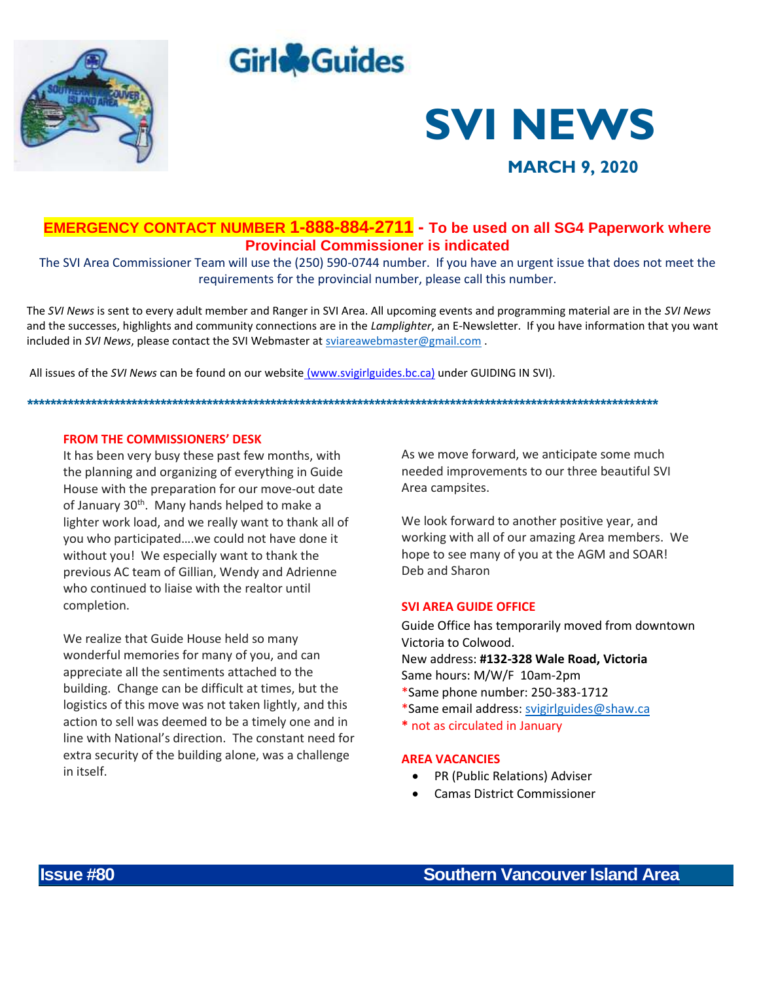





 **MARCH 9, 2020**

# **EMERGENCY CONTACT NUMBER 1-888-884-2711 - To be used on all SG4 Paperwork where Provincial Commissioner is indicated**

The SVI Area Commissioner Team will use the (250) 590-0744 number. If you have an urgent issue that does not meet the requirements for the provincial number, please call this number.

The *SVI News* is sent to every adult member and Ranger in SVI Area. All upcoming events and programming material are in the *SVI News* and the successes, highlights and community connections are in the *Lamplighter*, an E-Newsletter. If you have information that you want included in *SVI News*, please contact the SVI Webmaster at [sviareawebmaster@gmail.com](mailto:sviareawebmaster@gmail.com) .

*\*\*\*\*\*\*\*\*\*\*\*\*\*\*\*\*\*\*\*\*\*\*\*\*\*\*\*\*\*\*\*\*\*\*\*\*\*\*\*\*\*\*\*\*\*\*\*\*\*\*\*\*\*\*\*\*\*\*\*\*\*\*\*\*\*\*\*\*\*\*\*\*\*\*\*\*\*\*\*\*\*\*\*\*\*\*\*\*\*\*\*\*\*\*\*\*\*\*\*\*\*\*\*\*\*\*\*\*\**

All issues of the *SVI News* can be found on our website [\(www.svigirlguides.bc.ca\)](http://www.svigirlguides.bc.ca/) under GUIDING IN SVI).

# **FROM THE COMMISSIONERS' DESK**

It has been very busy these past few months, with the planning and organizing of everything in Guide House with the preparation for our move-out date of January 30<sup>th</sup>. Many hands helped to make a lighter work load, and we really want to thank all of you who participated….we could not have done it without you! We especially want to thank the previous AC team of Gillian, Wendy and Adrienne who continued to liaise with the realtor until completion.

We realize that Guide House held so many wonderful memories for many of you, and can appreciate all the sentiments attached to the building. Change can be difficult at times, but the logistics of this move was not taken lightly, and this action to sell was deemed to be a timely one and in line with National's direction. The constant need for extra security of the building alone, was a challenge in itself.

As we move forward, we anticipate some much needed improvements to our three beautiful SVI Area campsites.

We look forward to another positive year, and working with all of our amazing Area members. We hope to see many of you at the AGM and SOAR! Deb and Sharon

# **SVI AREA GUIDE OFFICE**

Guide Office has temporarily moved from downtown Victoria to Colwood. New address: **#132-328 Wale Road, Victoria** Same hours: M/W/F 10am-2pm \*Same phone number: 250-383-1712 \*Same email address: [svigirlguides@shaw.ca](mailto:svigirlguides@shaw.ca)

**\*** not as circulated in January

### **AREA VACANCIES**

- PR (Public Relations) Adviser
- Camas District Commissioner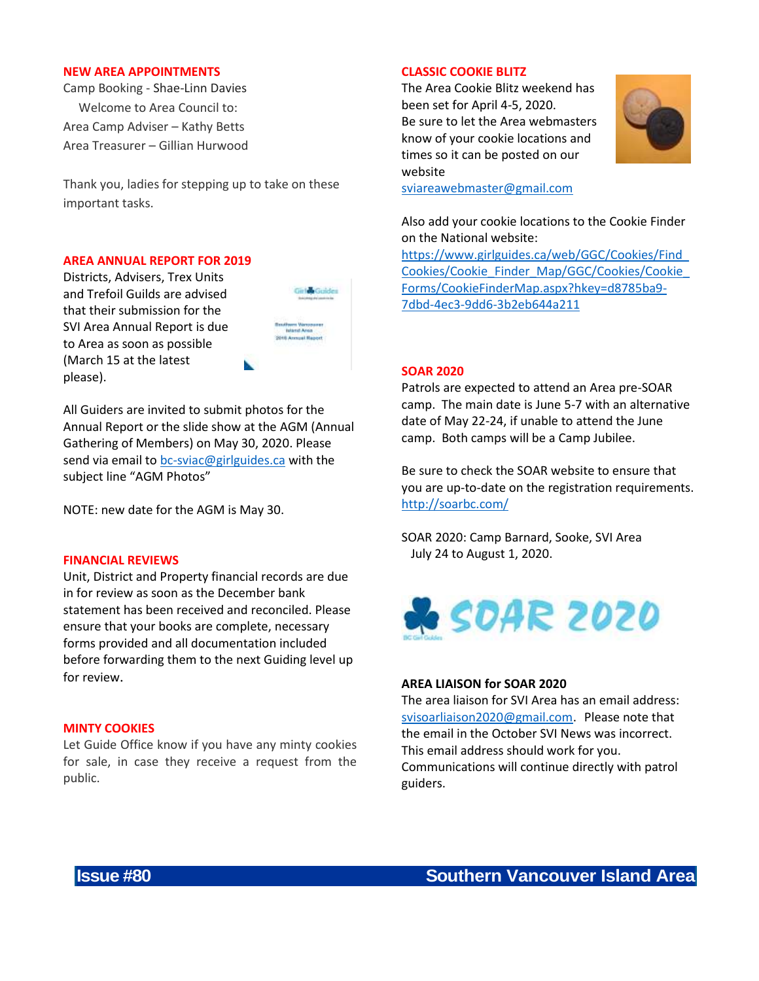#### **NEW AREA APPOINTMENTS**

Camp Booking - Shae-Linn Davies Welcome to Area Council to: Area Camp Adviser – Kathy Betts Area Treasurer – Gillian Hurwood

Thank you, ladies for stepping up to take on these important tasks.

#### **AREA ANNUAL REPORT FOR 2019**

Districts, Advisers, Trex Units and Trefoil Guilds are advised that their submission for the SVI Area Annual Report is due to Area as soon as possible (March 15 at the latest please).

| ï | ı<br>Y<br>ï<br>v |  |
|---|------------------|--|

All Guiders are invited to submit photos for the Annual Report or the slide show at the AGM (Annual Gathering of Members) on May 30, 2020. Please send via email to [bc-sviac@girlguides.ca](mailto:bc-sviac@girlguides.ca) with the subject line "AGM Photos"

NOTE: new date for the AGM is May 30.

#### **FINANCIAL REVIEWS**

Unit, District and Property financial records are due in for review as soon as the December bank statement has been received and reconciled. Please ensure that your books are complete, necessary forms provided and all documentation included before forwarding them to the next Guiding level up for review.

## **MINTY COOKIES**

Let Guide Office know if you have any minty cookies for sale, in case they receive a request from the public.

# **CLASSIC COOKIE BLITZ**

The Area Cookie Blitz weekend has been set for April 4-5, 2020. Be sure to let the Area webmasters know of your cookie locations and times so it can be posted on our website



[sviareawebmaster@gmail.com](mailto:sviareawebmaster@gmail.com)

Also add your cookie locations to the Cookie Finder on the National website:

[https://www.girlguides.ca/web/GGC/Cookies/Find\\_](https://www.girlguides.ca/web/GGC/Cookies/Find_Cookies/Cookie_Finder_Map/GGC/Cookies/Cookie_Forms/CookieFinderMap.aspx?hkey=d8785ba9-7dbd-4ec3-9dd6-3b2eb644a211) [Cookies/Cookie\\_Finder\\_Map/GGC/Cookies/Cookie\\_](https://www.girlguides.ca/web/GGC/Cookies/Find_Cookies/Cookie_Finder_Map/GGC/Cookies/Cookie_Forms/CookieFinderMap.aspx?hkey=d8785ba9-7dbd-4ec3-9dd6-3b2eb644a211) [Forms/CookieFinderMap.aspx?hkey=d8785ba9-](https://www.girlguides.ca/web/GGC/Cookies/Find_Cookies/Cookie_Finder_Map/GGC/Cookies/Cookie_Forms/CookieFinderMap.aspx?hkey=d8785ba9-7dbd-4ec3-9dd6-3b2eb644a211) [7dbd-4ec3-9dd6-3b2eb644a211](https://www.girlguides.ca/web/GGC/Cookies/Find_Cookies/Cookie_Finder_Map/GGC/Cookies/Cookie_Forms/CookieFinderMap.aspx?hkey=d8785ba9-7dbd-4ec3-9dd6-3b2eb644a211)

#### **SOAR 2020**

Patrols are expected to attend an Area pre-SOAR camp. The main date is June 5-7 with an alternative date of May 22-24, if unable to attend the June camp. Both camps will be a Camp Jubilee.

Be sure to check the SOAR website to ensure that you are up-to-date on the registration requirements. <http://soarbc.com/>

SOAR 2020: Camp Barnard, Sooke, SVI Area July 24 to August 1, 2020.



#### **AREA LIAISON for SOAR 2020**

The area liaison for SVI Area has an email address: [svisoarliaison2020@gmail.com](mailto:svisoarliaison2020@gmail.com). Please note that the email in the October SVI News was incorrect. This email address should work for you. Communications will continue directly with patrol guiders.